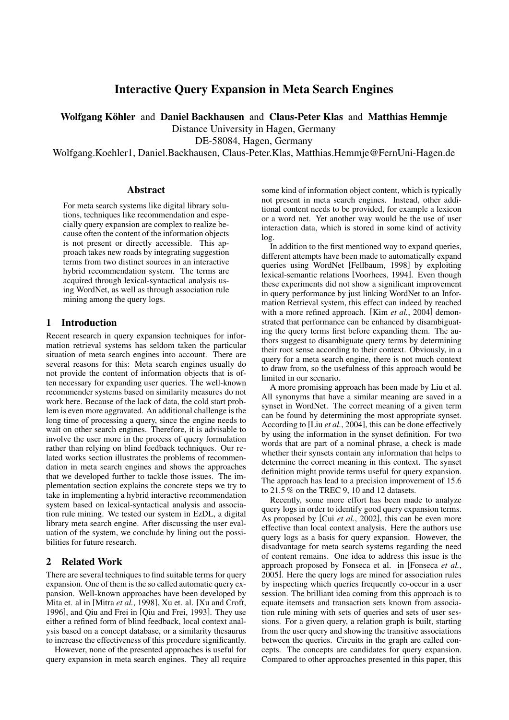# Interactive Query Expansion in Meta Search Engines

Wolfgang Köhler and Daniel Backhausen and Claus-Peter Klas and Matthias Hemmie

Distance University in Hagen, Germany

DE-58084, Hagen, Germany

Wolfgang.Koehler1, Daniel.Backhausen, Claus-Peter.Klas, Matthias.Hemmje@FernUni-Hagen.de

#### Abstract

For meta search systems like digital library solutions, techniques like recommendation and especially query expansion are complex to realize because often the content of the information objects is not present or directly accessible. This approach takes new roads by integrating suggestion terms from two distinct sources in an interactive hybrid recommendation system. The terms are acquired through lexical-syntactical analysis using WordNet, as well as through association rule mining among the query logs.

## 1 Introduction

Recent research in query expansion techniques for information retrieval systems has seldom taken the particular situation of meta search engines into account. There are several reasons for this: Meta search engines usually do not provide the content of information objects that is often necessary for expanding user queries. The well-known recommender systems based on similarity measures do not work here. Because of the lack of data, the cold start problem is even more aggravated. An additional challenge is the long time of processing a query, since the engine needs to wait on other search engines. Therefore, it is advisable to involve the user more in the process of query formulation rather than relying on blind feedback techniques. Our related works section illustrates the problems of recommendation in meta search engines and shows the approaches that we developed further to tackle those issues. The implementation section explains the concrete steps we try to take in implementing a hybrid interactive recommendation system based on lexical-syntactical analysis and association rule mining. We tested our system in EzDL, a digital library meta search engine. After discussing the user evaluation of the system, we conclude by lining out the possibilities for future research.

## 2 Related Work

There are several techniques to find suitable terms for query expansion. One of them is the so called automatic query expansion. Well-known approaches have been developed by Mita et. al in [Mitra *et al.*, 1998], Xu et. al. [Xu and Croft, 1996], and Qiu and Frei in [Qiu and Frei, 1993]. They use either a refined form of blind feedback, local context analysis based on a concept database, or a similarity thesaurus to increase the effectiveness of this procedure significantly.

However, none of the presented approaches is useful for query expansion in meta search engines. They all require some kind of information object content, which is typically not present in meta search engines. Instead, other additional content needs to be provided, for example a lexicon or a word net. Yet another way would be the use of user interaction data, which is stored in some kind of activity log.

In addition to the first mentioned way to expand queries, different attempts have been made to automatically expand queries using WordNet [Fellbaum, 1998] by exploiting lexical-semantic relations [Voorhees, 1994]. Even though these experiments did not show a significant improvement in query performance by just linking WordNet to an Information Retrieval system, this effect can indeed by reached with a more refined approach. [Kim *et al.*, 2004] demonstrated that performance can be enhanced by disambiguating the query terms first before expanding them. The authors suggest to disambiguate query terms by determining their root sense according to their context. Obviously, in a query for a meta search engine, there is not much context to draw from, so the usefulness of this approach would be limited in our scenario.

A more promising approach has been made by Liu et al. All synonyms that have a similar meaning are saved in a synset in WordNet. The correct meaning of a given term can be found by determining the most appropriate synset. According to [Liu *et al.*, 2004], this can be done effectively by using the information in the synset definition. For two words that are part of a nominal phrase, a check is made whether their synsets contain any information that helps to determine the correct meaning in this context. The synset definition might provide terms useful for query expansion. The approach has lead to a precision improvement of 15.6 to 21.5% on the TREC 9, 10 and 12 datasets.

Recently, some more effort has been made to analyze query logs in order to identify good query expansion terms. As proposed by [Cui *et al.*, 2002], this can be even more effective than local context analysis. Here the authors use query logs as a basis for query expansion. However, the disadvantage for meta search systems regarding the need of content remains. One idea to address this issue is the approach proposed by Fonseca et al. in [Fonseca *et al.*, 2005]. Here the query logs are mined for association rules by inspecting which queries frequently co-occur in a user session. The brilliant idea coming from this approach is to equate itemsets and transaction sets known from association rule mining with sets of queries and sets of user sessions. For a given query, a relation graph is built, starting from the user query and showing the transitive associations between the queries. Circuits in the graph are called concepts. The concepts are candidates for query expansion. Compared to other approaches presented in this paper, this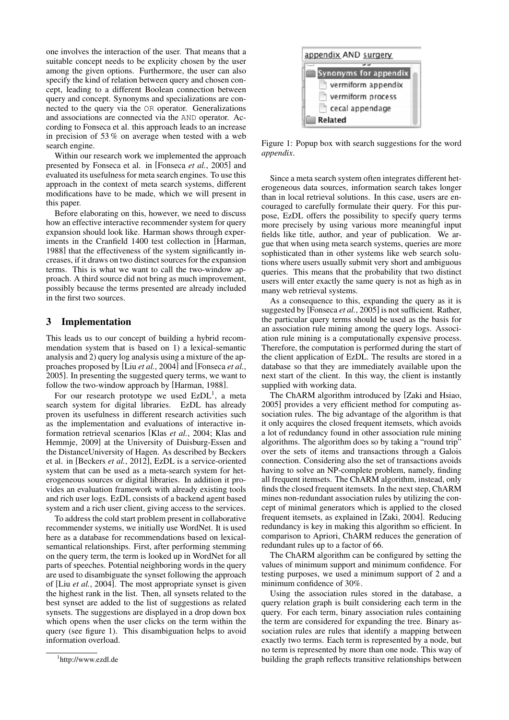one involves the interaction of the user. That means that a suitable concept needs to be explicity chosen by the user among the given options. Furthermore, the user can also specify the kind of relation between query and chosen concept, leading to a different Boolean connection between query and concept. Synonyms and specializations are connected to the query via the OR operator. Generalizations and associations are connected via the AND operator. According to Fonseca et al. this approach leads to an increase in precision of 53 % on average when tested with a web search engine.

Within our research work we implemented the approach presented by Fonseca et al. in [Fonseca *et al.*, 2005] and evaluated its usefulness for meta search engines. To use this approach in the context of meta search systems, different modifications have to be made, which we will present in this paper.

Before elaborating on this, however, we need to discuss how an effective interactive recommender system for query expansion should look like. Harman shows through experiments in the Cranfield 1400 test collection in [Harman, 1988] that the effectiveness of the system significantly increases, if it draws on two distinct sources for the expansion terms. This is what we want to call the two-window approach. A third source did not bring as much improvement, possibly because the terms presented are already included in the first two sources.

# 3 Implementation

This leads us to our concept of building a hybrid recommendation system that is based on 1) a lexical-semantic analysis and 2) query log analysis using a mixture of the approaches proposed by [Liu *et al.*, 2004] and [Fonseca *et al.*, 2005]. In presenting the suggested query terms, we want to follow the two-window approach by [Harman, 1988].

For our research prototype we used  $EzDL<sup>1</sup>$ , a meta search system for digital libraries. EzDL has already proven its usefulness in different research activities such as the implementation and evaluations of interactive information retrieval scenarios [Klas *et al.*, 2004; Klas and Hemmje, 2009] at the University of Duisburg-Essen and the DistanceUniversity of Hagen. As described by Beckers et al. in [Beckers *et al.*, 2012], EzDL is a service-oriented system that can be used as a meta-search system for heterogeneous sources or digital libraries. In addition it provides an evaluation framework with already existing tools and rich user logs. EzDL consists of a backend agent based system and a rich user client, giving access to the services.

To address the cold start problem present in collaborative recommender systems, we initially use WordNet. It is used here as a database for recommendations based on lexicalsemantical relationships. First, after performing stemming on the query term, the term is looked up in WordNet for all parts of speeches. Potential neighboring words in the query are used to disambiguate the synset following the approach of [Liu *et al.*, 2004]. The most appropriate synset is given the highest rank in the list. Then, all synsets related to the best synset are added to the list of suggestions as related synsets. The suggestions are displayed in a drop down box which opens when the user clicks on the term within the query (see figure 1). This disambiguation helps to avoid information overload.



Figure 1: Popup box with search suggestions for the word *appendix*.

Since a meta search system often integrates different heterogeneous data sources, information search takes longer than in local retrieval solutions. In this case, users are encouraged to carefully formulate their query. For this purpose, EzDL offers the possibility to specify query terms more precisely by using various more meaningful input fields like title, author, and year of publication. We argue that when using meta search systems, queries are more sophisticated than in other systems like web search solutions where users usually submit very short and ambiguous queries. This means that the probability that two distinct users will enter exactly the same query is not as high as in many web retrieval systems.

As a consequence to this, expanding the query as it is suggested by [Fonseca *et al.*, 2005] is not sufficient. Rather, the particular query terms should be used as the basis for an association rule mining among the query logs. Association rule mining is a computationally expensive process. Therefore, the computation is performed during the start of the client application of EzDL. The results are stored in a database so that they are immediately available upon the next start of the client. In this way, the client is instantly supplied with working data.

The ChARM algorithm introduced by [Zaki and Hsiao, 2005] provides a very efficient method for computing association rules. The big advantage of the algorithm is that it only acquires the closed frequent itemsets, which avoids a lot of redundancy found in other association rule mining algorithms. The algorithm does so by taking a "round trip" over the sets of items and transactions through a Galois connection. Considering also the set of transactions avoids having to solve an NP-complete problem, namely, finding all frequent itemsets. The ChARM algorithm, instead, only finds the closed frequent itemsets. In the next step, ChARM mines non-redundant association rules by utilizing the concept of minimal generators which is applied to the closed frequent itemsets, as explained in [Zaki, 2004]. Reducing redundancy is key in making this algorithm so efficient. In comparison to Apriori, ChARM reduces the generation of redundant rules up to a factor of 66.

The ChARM algorithm can be configured by setting the values of minimum support and minimum confidence. For testing purposes, we used a minimum support of 2 and a minimum confidence of 30%.

Using the association rules stored in the database, a query relation graph is built considering each term in the query. For each term, binary association rules containing the term are considered for expanding the tree. Binary association rules are rules that identify a mapping between exactly two terms. Each term is represented by a node, but no term is represented by more than one node. This way of building the graph reflects transitive relationships between

<sup>1</sup> http://www.ezdl.de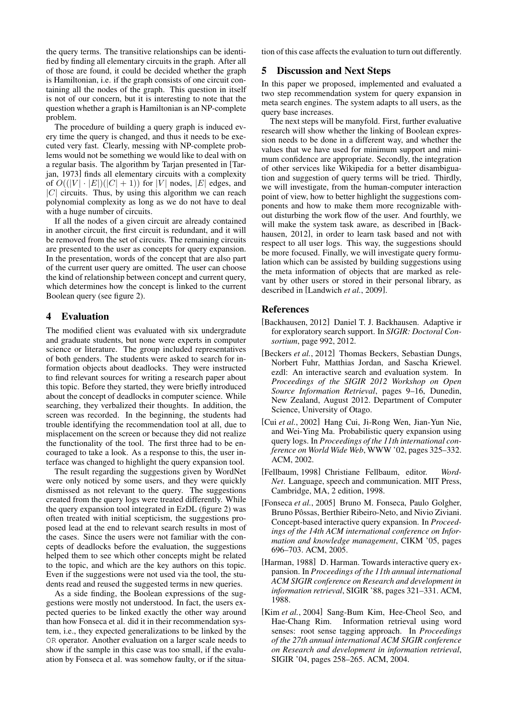the query terms. The transitive relationships can be identified by finding all elementary circuits in the graph. After all of those are found, it could be decided whether the graph is Hamiltonian, i.e. if the graph consists of one circuit containing all the nodes of the graph. This question in itself is not of our concern, but it is interesting to note that the question whether a graph is Hamiltonian is an NP-complete problem.

The procedure of building a query graph is induced every time the query is changed, and thus it needs to be executed very fast. Clearly, messing with NP-complete problems would not be something we would like to deal with on a regular basis. The algorithm by Tarjan presented in [Tarjan, 1973] finds all elementary circuits with a complexity of  $O((|V| \cdot |E|)(|C| + 1))$  for |V| nodes, |E| edges, and  $|C|$  circuits. Thus, by using this algorithm we can reach polynomial complexity as long as we do not have to deal with a huge number of circuits.

If all the nodes of a given circuit are already contained in another circuit, the first circuit is redundant, and it will be removed from the set of circuits. The remaining circuits are presented to the user as concepts for query expansion. In the presentation, words of the concept that are also part of the current user query are omitted. The user can choose the kind of relationship between concept and current query, which determines how the concept is linked to the current Boolean query (see figure 2).

## 4 Evaluation

The modified client was evaluated with six undergradute and graduate students, but none were experts in computer science or literature. The group included representatives of both genders. The students were asked to search for information objects about deadlocks. They were instructed to find relevant sources for writing a research paper about this topic. Before they started, they were briefly introduced about the concept of deadlocks in computer science. While searching, they verbalized their thoughts. In addition, the screen was recorded. In the beginning, the students had trouble identifying the recommendation tool at all, due to misplacement on the screen or because they did not realize the functionality of the tool. The first three had to be encouraged to take a look. As a response to this, the user interface was changed to highlight the query expansion tool.

The result regarding the suggestions given by WordNet were only noticed by some users, and they were quickly dismissed as not relevant to the query. The suggestions created from the query logs were treated differently. While the query expansion tool integrated in EzDL (figure 2) was often treated with initial scepticism, the suggestions proposed lead at the end to relevant search results in most of the cases. Since the users were not familiar with the concepts of deadlocks before the evaluation, the suggestions helped them to see which other concepts might be related to the topic, and which are the key authors on this topic. Even if the suggestions were not used via the tool, the students read and reused the suggested terms in new queries.

As a side finding, the Boolean expressions of the suggestions were mostly not understood. In fact, the users expected queries to be linked exactly the other way around than how Fonseca et al. did it in their recommendation system, i.e., they expected generalizations to be linked by the OR operator. Another evaluation on a larger scale needs to show if the sample in this case was too small, if the evaluation by Fonseca et al. was somehow faulty, or if the situation of this case affects the evaluation to turn out differently.

## 5 Discussion and Next Steps

In this paper we proposed, implemented and evaluated a two step recommendation system for query expansion in meta search engines. The system adapts to all users, as the query base increases.

The next steps will be manyfold. First, further evaluative research will show whether the linking of Boolean expression needs to be done in a different way, and whether the values that we have used for minimum support and minimum confidence are appropriate. Secondly, the integration of other services like Wikipedia for a better disambiguation and suggestion of query terms will be tried. Thirdly, we will investigate, from the human-computer interaction point of view, how to better highlight the suggestions components and how to make them more recognizable without disturbing the work flow of the user. And fourthly, we will make the system task aware, as described in [Backhausen, 2012], in order to learn task based and not with respect to all user logs. This way, the suggestions should be more focused. Finally, we will investigate query formulation which can be assisted by building suggestions using the meta information of objects that are marked as relevant by other users or stored in their personal library, as described in [Landwich *et al.*, 2009].

#### References

- [Backhausen, 2012] Daniel T. J. Backhausen. Adaptive ir for exploratory search support. In *SIGIR: Doctoral Consortium*, page 992, 2012.
- [Beckers *et al.*, 2012] Thomas Beckers, Sebastian Dungs, Norbert Fuhr, Matthias Jordan, and Sascha Kriewel. ezdl: An interactive search and evaluation system. In *Proceedings of the SIGIR 2012 Workshop on Open Source Information Retrieval*, pages 9–16, Dunedin, New Zealand, August 2012. Department of Computer Science, University of Otago.
- [Cui *et al.*, 2002] Hang Cui, Ji-Rong Wen, Jian-Yun Nie, and Wei-Ying Ma. Probabilistic query expansion using query logs. In *Proceedings of the 11th international conference on World Wide Web*, WWW '02, pages 325–332. ACM, 2002.
- [Fellbaum, 1998] Christiane Fellbaum, editor. *Word-Net*. Language, speech and communication. MIT Press, Cambridge, MA, 2 edition, 1998.
- [Fonseca *et al.*, 2005] Bruno M. Fonseca, Paulo Golgher, Bruno Pôssas, Berthier Ribeiro-Neto, and Nivio Ziviani. Concept-based interactive query expansion. In *Proceedings of the 14th ACM international conference on Information and knowledge management*, CIKM '05, pages 696–703. ACM, 2005.
- [Harman, 1988] D. Harman. Towards interactive query expansion. In *Proceedings of the 11th annual international ACM SIGIR conference on Research and development in information retrieval*, SIGIR '88, pages 321–331. ACM, 1988.
- [Kim *et al.*, 2004] Sang-Bum Kim, Hee-Cheol Seo, and Hae-Chang Rim. Information retrieval using word senses: root sense tagging approach. In *Proceedings of the 27th annual international ACM SIGIR conference on Research and development in information retrieval*, SIGIR '04, pages 258–265. ACM, 2004.